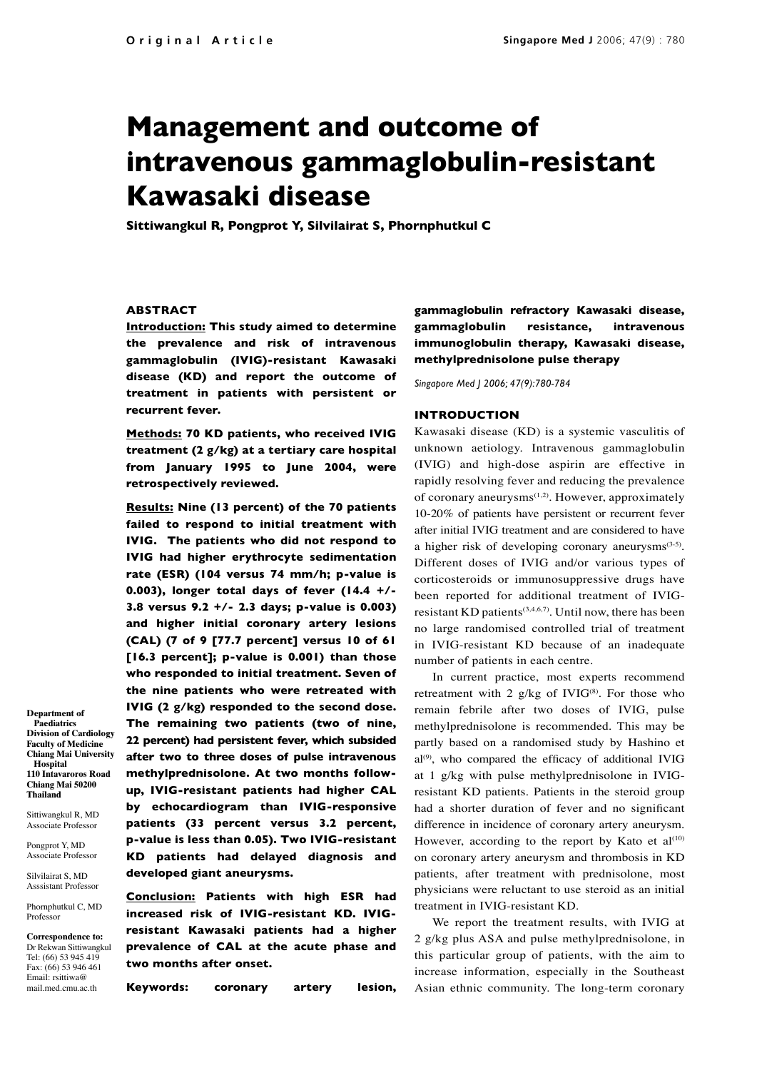# **Management and outcome of intravenous gammaglobulin-resistant Kawasaki disease**

**Sittiwangkul R, Pongprot Y, Silvilairat S, Phornphutkul C**

## **ABSTRACT**

**Introduction: This study aimed to determine the prevalence and risk of intravenous gammaglobulin (IVIG)-resistant Kawasaki disease (KD) and report the outcome of treatment in patients with persistent or recurrent fever.**

**Methods: 70 KD patients, who received IVIG treatment (2 g/kg) at a tertiary care hospital from January 1995 to June 2004, were retrospectively reviewed.** 

**Results: Nine (13 percent) of the 70 patients failed to respond to initial treatment with IVIG. The patients who did not respond to IVIG had higher erythrocyte sedimentation rate (ESR) (104 versus 74 mm/h; p-value is 0.003), longer total days of fever (14.4 +/- 3.8 versus 9.2 +/- 2.3 days; p-value is 0.003) and higher initial coronary artery lesions (CAL) (7 of 9 [77.7 percent] versus 10 of 61 [16.3 percent]; p-value is 0.001) than those who responded to initial treatment. Seven of the nine patients who were retreated with IVIG (2 g/kg) responded to the second dose. The remaining two patients (two of nine, 22 percent) had persistent fever, which subsided after two to three doses of pulse intravenous methylprednisolone. At two months followup, IVIG-resistant patients had higher CAL by echocardiogram than IVIG-responsive patients (33 percent versus 3.2 percent, p-value is less than 0.05). Two IVIG-resistant KD patients had delayed diagnosis and developed giant aneurysms.** 

**Conclusion: Patients with high ESR had increased risk of IVIG-resistant KD. IVIGresistant Kawasaki patients had a higher prevalence of CAL at the acute phase and two months after onset.** 

**Keywords: coronary artery lesion,** 

**gammaglobulin refractory Kawasaki disease, gammaglobulin resistance, intravenous immunoglobulin therapy, Kawasaki disease, methylprednisolone pulse therapy**

*Singapore Med J 2006; 47(9):780-784*

## **INTRODUCTION**

Kawasaki disease (KD) is a systemic vasculitis of unknown aetiology. Intravenous gammaglobulin (IVIG) and high-dose aspirin are effective in rapidly resolving fever and reducing the prevalence of coronary aneurysms<sup>(1,2)</sup>. However, approximately 10-20% of patients have persistent or recurrent fever after initial IVIG treatment and are considered to have a higher risk of developing coronary aneurysms(3-5). Different doses of IVIG and/or various types of corticosteroids or immunosuppressive drugs have been reported for additional treatment of IVIGresistant KD patients<sup>(3,4,6,7)</sup>. Until now, there has been no large randomised controlled trial of treatment in IVIG-resistant KD because of an inadequate number of patients in each centre.

In current practice, most experts recommend retreatment with 2  $g/kg$  of IVIG<sup>(8)</sup>. For those who remain febrile after two doses of IVIG, pulse methylprednisolone is recommended. This may be partly based on a randomised study by Hashino et  $al^{(9)}$ , who compared the efficacy of additional IVIG at 1 g/kg with pulse methylprednisolone in IVIGresistant KD patients. Patients in the steroid group had a shorter duration of fever and no significant difference in incidence of coronary artery aneurysm. However, according to the report by Kato et  $al^{(10)}$ on coronary artery aneurysm and thrombosis in KD patients, after treatment with prednisolone, most physicians were reluctant to use steroid as an initial treatment in IVIG-resistant KD.

We report the treatment results, with IVIG at 2 g/kg plus ASA and pulse methylprednisolone, in this particular group of patients, with the aim to increase information, especially in the Southeast Asian ethnic community. The long-term coronary

**Department of Paediatrics Division of Cardiology Faculty of Medicine Chiang Mai University Hospital 110 Intavaroros Road Chiang Mai 50200 Thailand**

Sittiwangkul R, MD Associate Professor

Pongprot Y, MD

Associate Professor Silvilairat S, MD

Asssistant Professor

Phornphutkul C, MD Professor

**Correspondence to:** Dr Rekwan Sittiwangkul Tel: (66) 53 945 419 Fax: (66) 53 946 461 Email: rsittiwa@ mail.med.cmu.ac.th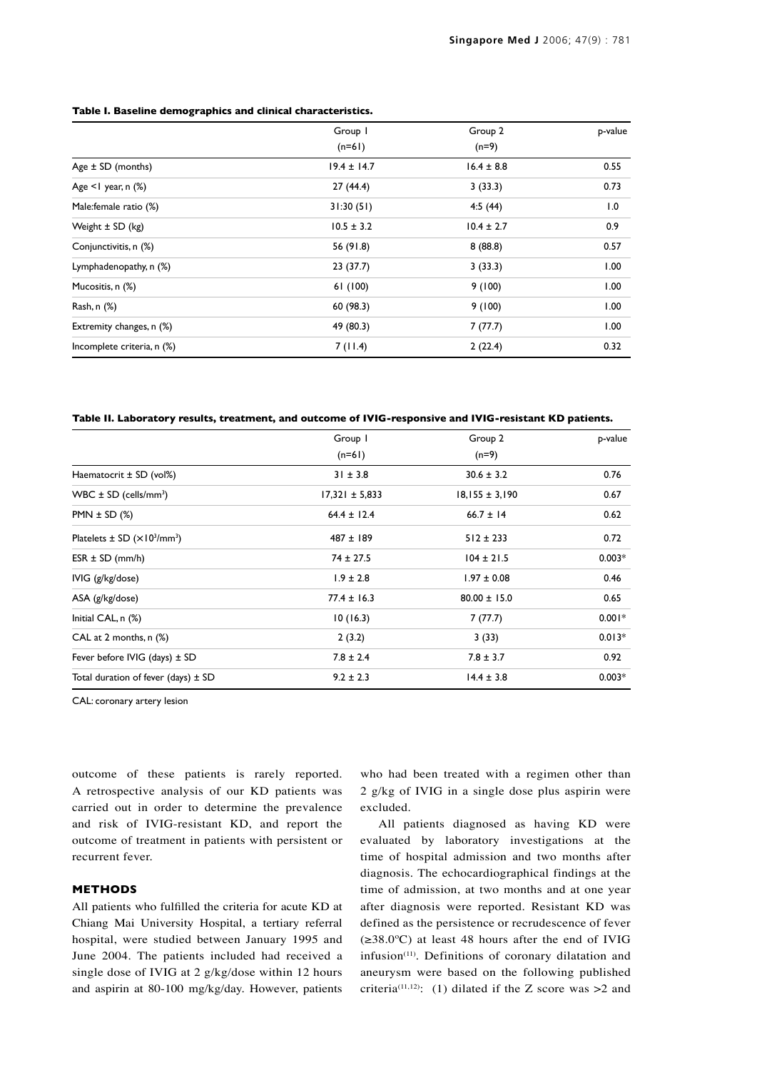### **Table I. Baseline demographics and clinical characteristics.**

|                            | Group I<br>$(n=61)$ | Group 2<br>$(n=9)$ | p-value |
|----------------------------|---------------------|--------------------|---------|
|                            |                     |                    |         |
| Age $\pm$ SD (months)      | $19.4 \pm 14.7$     | $16.4 \pm 8.8$     | 0.55    |
| Age $\leq$ year, n $(\%)$  | 27 (44.4)           | 3(33.3)            | 0.73    |
| Male:female ratio (%)      | 31:30(51)           | 4:5(44)            | 1.0     |
| Weight $\pm$ SD (kg)       | $10.5 \pm 3.2$      | $10.4 \pm 2.7$     | 0.9     |
| Conjunctivitis, n (%)      | 56 (91.8)           | 8(88.8)            | 0.57    |
| Lymphadenopathy, n (%)     | 23 (37.7)           | 3(33.3)            | 1.00    |
| Mucositis, n (%)           | 61(100)             | 9(100)             | 1.00    |
| Rash, n (%)                | 60 (98.3)           | 9(100)             | 1.00    |
| Extremity changes, n (%)   | 49 (80.3)           | 7(77.7)            | 1.00    |
| Incomplete criteria, n (%) | 7(11.4)             | 2(22.4)            | 0.32    |

**Table II. Laboratory results, treatment, and outcome of IVIG-responsive and IVIG-resistant KD patients.**

|                                                                  | Group I<br>$(n=61)$ | Group 2<br>$(n=9)$ | p-value  |
|------------------------------------------------------------------|---------------------|--------------------|----------|
|                                                                  |                     |                    |          |
| Haematocrit $\pm$ SD (vol%)                                      | $31 \pm 3.8$        | $30.6 \pm 3.2$     | 0.76     |
| WBC $\pm$ SD (cells/mm <sup>3</sup> )                            | $17,321 \pm 5,833$  | $18,155 \pm 3,190$ | 0.67     |
| PMN $\pm$ SD $(\%)$                                              | $64.4 \pm 12.4$     | $66.7 \pm 14$      | 0.62     |
| Platelets $\pm$ SD ( $\times$ 10 <sup>3</sup> /mm <sup>3</sup> ) | $487 \pm 189$       | $512 \pm 233$      | 0.72     |
| $ESR \pm SD$ (mm/h)                                              | $74 \pm 27.5$       | $104 \pm 21.5$     | $0.003*$ |
| IVIG (g/kg/dose)                                                 | $1.9 \pm 2.8$       | $1.97 \pm 0.08$    | 0.46     |
| ASA (g/kg/dose)                                                  | $77.4 \pm 16.3$     | $80.00 \pm 15.0$   | 0.65     |
| Initial CAL, $n$ $(\%)$                                          | 10(16.3)            | 7(77.7)            | $0.001*$ |
| CAL at 2 months, $n$ $(\%)$                                      | 2(3.2)              | 3(33)              | $0.013*$ |
| Fever before IVIG (days) $\pm$ SD                                | $7.8 \pm 2.4$       | $7.8 \pm 3.7$      | 0.92     |
| Total duration of fever (days) $\pm$ SD                          | $9.2 \pm 2.3$       | $14.4 \pm 3.8$     | $0.003*$ |

CAL: coronary artery lesion

outcome of these patients is rarely reported. A retrospective analysis of our KD patients was carried out in order to determine the prevalence and risk of IVIG-resistant KD, and report the outcome of treatment in patients with persistent or recurrent fever.

# **METHODS**

All patients who fulfilled the criteria for acute KD at Chiang Mai University Hospital, a tertiary referral hospital, were studied between January 1995 and June 2004. The patients included had received a single dose of IVIG at 2 g/kg/dose within 12 hours and aspirin at 80-100 mg/kg/day. However, patients who had been treated with a regimen other than 2 g/kg of IVIG in a single dose plus aspirin were excluded.

All patients diagnosed as having KD were evaluated by laboratory investigations at the time of hospital admission and two months after diagnosis. The echocardiographical findings at the time of admission, at two months and at one year after diagnosis were reported. Resistant KD was defined as the persistence or recrudescence of fever (≥38.0ºC) at least 48 hours after the end of IVIG infusion<sup> $(11)$ </sup>. Definitions of coronary dilatation and aneurysm were based on the following published criteria<sup>(11,12)</sup>: (1) dilated if the Z score was  $>2$  and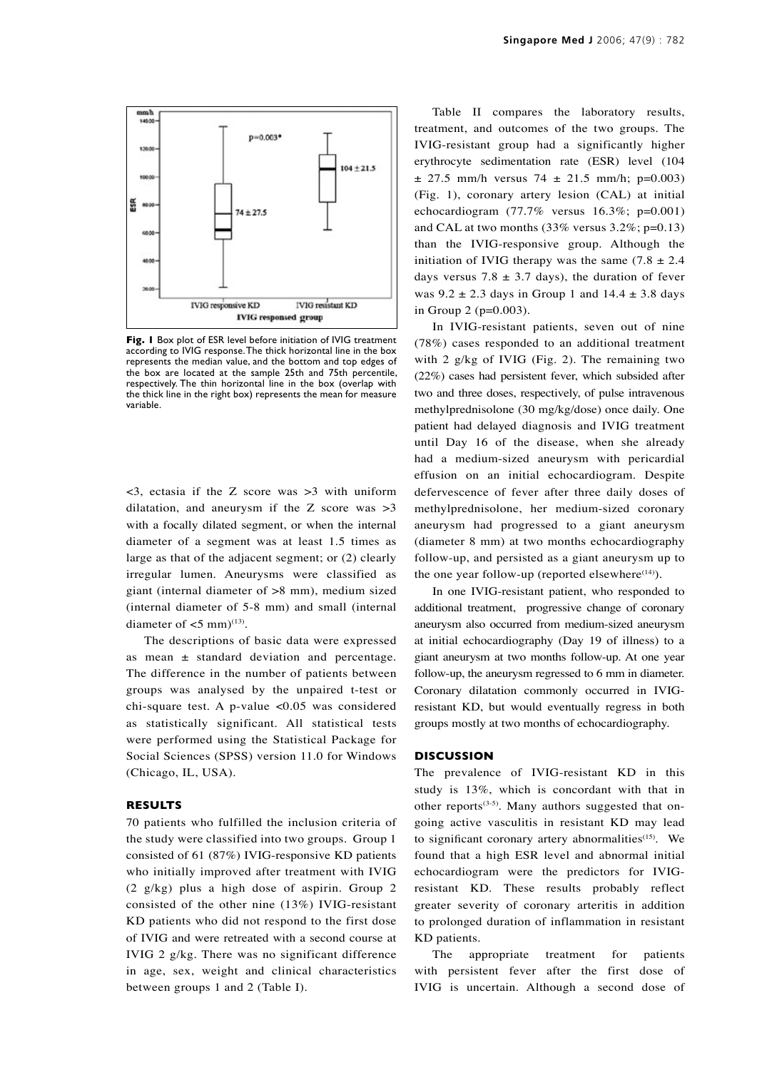

**Fig. 1** Box plot of ESR level before initiation of IVIG treatment according to IVIG response. The thick horizontal line in the box represents the median value, and the bottom and top edges of the box are located at the sample 25th and 75th percentile, respectively. The thin horizontal line in the box (overlap with the thick line in the right box) represents the mean for measure variable.

<3, ectasia if the Z score was >3 with uniform dilatation, and aneurysm if the Z score was  $>3$ with a focally dilated segment, or when the internal diameter of a segment was at least 1.5 times as large as that of the adjacent segment; or (2) clearly irregular lumen. Aneurysms were classified as giant (internal diameter of >8 mm), medium sized (internal diameter of 5-8 mm) and small (internal diameter of  $<$ 5 mm $)$ <sup>(13)</sup>.

The descriptions of basic data were expressed as mean ± standard deviation and percentage. The difference in the number of patients between groups was analysed by the unpaired t-test or chi-square test. A p-value <0.05 was considered as statistically significant. All statistical tests were performed using the Statistical Package for Social Sciences (SPSS) version 11.0 for Windows (Chicago, IL, USA).

# **RESULTS**

70 patients who fulfilled the inclusion criteria of the study were classified into two groups. Group 1 consisted of 61 (87%) IVIG-responsive KD patients who initially improved after treatment with IVIG (2 g/kg) plus a high dose of aspirin. Group 2 consisted of the other nine (13%) IVIG-resistant KD patients who did not respond to the first dose of IVIG and were retreated with a second course at IVIG 2 g/kg. There was no significant difference in age, sex, weight and clinical characteristics between groups 1 and 2 (Table I).

Table II compares the laboratory results, treatment, and outcomes of the two groups. The IVIG-resistant group had a significantly higher erythrocyte sedimentation rate (ESR) level (104  $\pm$  27.5 mm/h versus 74  $\pm$  21.5 mm/h; p=0.003) (Fig. 1), coronary artery lesion (CAL) at initial echocardiogram (77.7% versus 16.3%; p=0.001) and CAL at two months (33% versus 3.2%; p=0.13) than the IVIG-responsive group. Although the initiation of IVIG therapy was the same  $(7.8 \pm 2.4)$ days versus 7.8  $\pm$  3.7 days), the duration of fever was  $9.2 \pm 2.3$  days in Group 1 and  $14.4 \pm 3.8$  days in Group 2 (p=0.003).

In IVIG-resistant patients, seven out of nine (78%) cases responded to an additional treatment with 2 g/kg of IVIG (Fig. 2). The remaining two (22%) cases had persistent fever, which subsided after two and three doses, respectively, of pulse intravenous methylprednisolone (30 mg/kg/dose) once daily. One patient had delayed diagnosis and IVIG treatment until Day 16 of the disease, when she already had a medium-sized aneurysm with pericardial effusion on an initial echocardiogram. Despite defervescence of fever after three daily doses of methylprednisolone, her medium-sized coronary aneurysm had progressed to a giant aneurysm (diameter 8 mm) at two months echocardiography follow-up, and persisted as a giant aneurysm up to the one year follow-up (reported elsewhere $(14)$ ).

In one IVIG-resistant patient, who responded to additional treatment, progressive change of coronary aneurysm also occurred from medium-sized aneurysm at initial echocardiography (Day 19 of illness) to a giant aneurysm at two months follow-up. At one year follow-up, the aneurysm regressed to 6 mm in diameter. Coronary dilatation commonly occurred in IVIGresistant KD, but would eventually regress in both groups mostly at two months of echocardiography.

#### **DISCUSSION**

The prevalence of IVIG-resistant KD in this study is 13%, which is concordant with that in other reports<sup>(3-5)</sup>. Many authors suggested that ongoing active vasculitis in resistant KD may lead to significant coronary artery abnormalities<sup>(15)</sup>. We found that a high ESR level and abnormal initial echocardiogram were the predictors for IVIGresistant KD. These results probably reflect greater severity of coronary arteritis in addition to prolonged duration of inflammation in resistant KD patients.

The appropriate treatment for patients with persistent fever after the first dose of IVIG is uncertain. Although a second dose of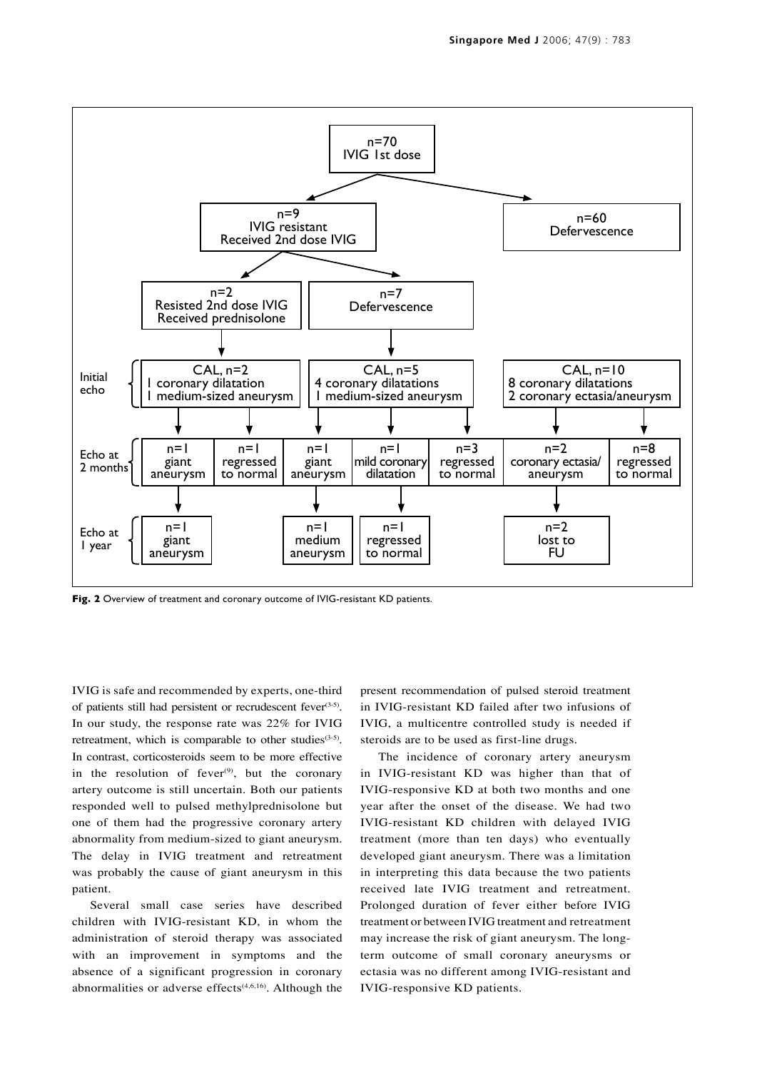

Fig. 2 Overview of treatment and coronary outcome of IVIG-resistant KD patients.

IVIG is safe and recommended by experts, one-third of patients still had persistent or recrudescent fever(3-5). In our study, the response rate was 22% for IVIG retreatment, which is comparable to other studies $(3-5)$ . In contrast, corticosteroids seem to be more effective in the resolution of fever $(9)$ , but the coronary artery outcome is still uncertain. Both our patients responded well to pulsed methylprednisolone but one of them had the progressive coronary artery abnormality from medium-sized to giant aneurysm. The delay in IVIG treatment and retreatment was probably the cause of giant aneurysm in this patient.

Several small case series have described children with IVIG-resistant KD, in whom the administration of steroid therapy was associated with an improvement in symptoms and the absence of a significant progression in coronary abnormalities or adverse effects $(4,6,16)$ . Although the present recommendation of pulsed steroid treatment in IVIG-resistant KD failed after two infusions of IVIG, a multicentre controlled study is needed if steroids are to be used as first-line drugs.

The incidence of coronary artery aneurysm in IVIG-resistant KD was higher than that of IVIG-responsive KD at both two months and one year after the onset of the disease. We had two IVIG-resistant KD children with delayed IVIG treatment (more than ten days) who eventually developed giant aneurysm. There was a limitation in interpreting this data because the two patients received late IVIG treatment and retreatment. Prolonged duration of fever either before IVIG treatment or between IVIG treatment and retreatment may increase the risk of giant aneurysm. The longterm outcome of small coronary aneurysms or ectasia was no different among IVIG-resistant and IVIG-responsive KD patients.